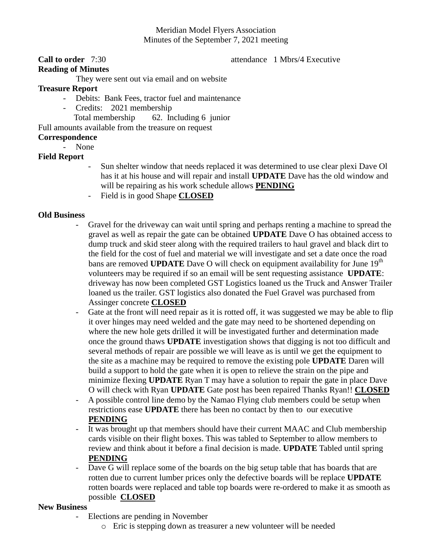# Meridian Model Flyers Association Minutes of the September 7, 2021 meeting

#### **Call to order** 7:30 **attendance** 1 Mbrs/4 Executive

## **Reading of Minutes**

They were sent out via email and on website

## **Treasure Report**

- Debits: Bank Fees, tractor fuel and maintenance
- Credits: 2021 membership
	- Total membership 62. Including 6 junior

Full amounts available from the treasure on request

### **Correspondence**

- None

# **Field Report**

- Sun shelter window that needs replaced it was determined to use clear plexi Dave Ol has it at his house and will repair and install **UPDATE** Dave has the old window and will be repairing as his work schedule allows **PENDING**
- Field is in good Shape **CLOSED**

### **Old Business**

- Gravel for the driveway can wait until spring and perhaps renting a machine to spread the gravel as well as repair the gate can be obtained **UPDATE** Dave O has obtained access to dump truck and skid steer along with the required trailers to haul gravel and black dirt to the field for the cost of fuel and material we will investigate and set a date once the road bans are removed **UPDATE** Dave O will check on equipment availability for June 19<sup>th</sup> volunteers may be required if so an email will be sent requesting assistance **UPDATE**: driveway has now been completed GST Logistics loaned us the Truck and Answer Trailer loaned us the trailer. GST logistics also donated the Fuel Gravel was purchased from Assinger concrete **CLOSED**
- Gate at the front will need repair as it is rotted off, it was suggested we may be able to flip it over hinges may need welded and the gate may need to be shortened depending on where the new hole gets drilled it will be investigated further and determination made once the ground thaws **UPDATE** investigation shows that digging is not too difficult and several methods of repair are possible we will leave as is until we get the equipment to the site as a machine may be required to remove the existing pole **UPDATE** Daren will build a support to hold the gate when it is open to relieve the strain on the pipe and minimize flexing **UPDATE** Ryan T may have a solution to repair the gate in place Dave O will check with Ryan **UPDATE** Gate post has been repaired Thanks Ryan!! **CLOSED**
- A possible control line demo by the Namao Flying club members could be setup when restrictions ease **UPDATE** there has been no contact by then to our executive **PENDING**
- It was brought up that members should have their current MAAC and Club membership cards visible on their flight boxes. This was tabled to September to allow members to review and think about it before a final decision is made. **UPDATE** Tabled until spring **PENDING**
- Dave G will replace some of the boards on the big setup table that has boards that are rotten due to current lumber prices only the defective boards will be replace **UPDATE** rotten boards were replaced and table top boards were re-ordered to make it as smooth as possible **CLOSED**

#### **New Business**

- Elections are pending in November
	- o Eric is stepping down as treasurer a new volunteer will be needed